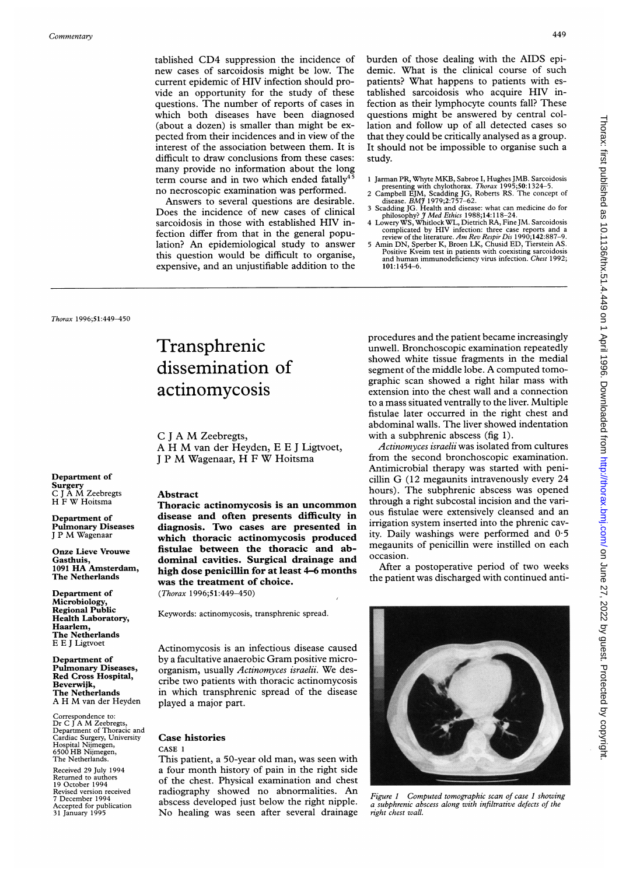tablished CD4 suppression the incidence of new cases of sarcoidosis might be low. The current epidemic of HIV infection should provide an opportunity for the study of these questions. The number of reports of cases in which both diseases have been diagnosed (about a dozen) is smaller than might be expected from their incidences and in view of the interest of the association between them. It is difficult to draw conclusions from these cases: many provide no information about the long term course and in two which ended fatally $4^{\frac{1}{5}}$ no necroscopic examination was performed.

Answers to several questions are desirable. Does the incidence of new cases of clinical sarcoidosis in those with established HIV infection differ from that in the general population? An epidemiological study to answer this question would be difficult to organise, expensive, and an unjustifiable addition to the burden of those dealing with the AIDS epidemic. What is the clinical course of such patients? What happens to patients with established sarcoidosis who acquire HIV infection as their lymphocyte counts fall? These questions might be answered by central collation and follow up of all detected cases so that they could be critically analysed as a group. It should not be impossible to organise such a study.

- <sup>1</sup> Jarman PR, Whyte MKB, Sabroe I, Hughes JMB. Sarcoidosis
- presenting with chylothorax. Thorax 1995;50:1324–5.<br>2 Campbell EJM, Scadding JG, Roberts RS. The concept of<br>disease. BMJ 1979;2:757–62.<br>3 Scadding JG. Health and disease: what can medicine do for
- philosophy? J<sup>7</sup> Med Ethics 1988;14:118-24.<br>4 Lowery WS, Whitlock WL, Dietrich RA, Fine JM. Sarcoidosis
	-
- complicated by HIV infection: three case reports and a review of the literature.  $Am$   $Rev$   $Respi$   $Dis$  190;142:887-9. 5 Amin DN, Sperber K, Broen LK, Chusid ED, Tierstein AS. Positive Kyeim test in patients with coexisting s 101:1454-6.

Thorax 1996;51:449-450

# Transphrenic dissemination of actinomycosis

<sup>C</sup> <sup>J</sup> A M Zeebregts, A H M van der Heyden, <sup>E</sup> <sup>E</sup> <sup>J</sup> Ligtvoet, <sup>J</sup> <sup>P</sup> M Wagenaar, H <sup>F</sup> W Hoitsma

# Department of Surgery C <sup>J</sup> A M Zeebregts H <sup>F</sup> W Hoitsma

Department of Pulmonary Diseases <sup>J</sup> <sup>P</sup> M Wagenaar

Onze Lieve Vrouwe Gasthuis, <sup>1091</sup> HA Amsterdam, The Netherlands

Department of Microbiology, Regional Public Health Laboratory, Haarlem, The Netherlands E E <sup>J</sup> Ligtvoet

Department of Pulmonary Diseases, Red Cross Hospital, Beverwijk, The Netherlands A H M van der Heyden

Correspondence to: Dr C <sup>J</sup> A M Zeebregts, Department of Thoracic and Cardiac Surgery, University Hospital Nijmegen, 6500 HB Nijmegen, The Netherlands.

Received 29 July 1994 Returned to authors 19 October 1994 Revised version received 7 December 1994 Accepted for publication 31 January 1995

## Abstract

Thoracic actinomycosis is an uncommon disease and often presents difficulty in diagnosis. Two cases are presented in which thoracic actinomycosis produced fistulae between the thoracic and abdominal cavities. Surgical drainage and high dose penicillin for at least 4-6 months was the treatment of choice. (Thorax 1996;51:449-450)

Keywords: actinomycosis, transphrenic spread.

Actinomycosis is an infectious disease caused by <sup>a</sup> facultative anaerobic Gram positive microorganism, usually Actinomyces israelii. We describe two patients with thoracic actinomycosis in which transphrenic spread of the disease played a major part.

### Case histories CASE <sup>1</sup>

This patient, a 50-year old man, was seen with a four month history of pain in the right side of the chest. Physical examination and chest radiography showed no abnormalities. An abscess developed just below the right nipple. No healing was seen after several drainage procedures and the patient became increasingly unwell. Bronchoscopic examination repeatedly showed white tissue fragments in the medial segment of the middle lobe. A computed tomographic scan showed a right hilar mass with extension into the chest wall and a connection to a mass situated ventrally to the liver. Multiple fistulae later occurred in the right chest and abdominal walls. The liver showed indentation with a subphrenic abscess (fig 1).

Actinomyces israelii was isolated from cultures from the second bronchoscopic examination. Antimicrobial therapy was started with penicillin G (12 megaunits intravenously every <sup>24</sup> hours). The subphrenic abscess was opened through a right subcostal incision and the various fistulae were extensively cleansed and an irrigation system inserted into the phrenic cavity. Daily washings were performed and 0-5 megaunits of penicillin were instilled on each occasion.

After a postoperative period of two weeks the patient was discharged with continued anti-



Figure <sup>1</sup> Computed tomographic scan of case <sup>1</sup> showing a subphrenic abscess along with infiltrative defects of the right chest wall.